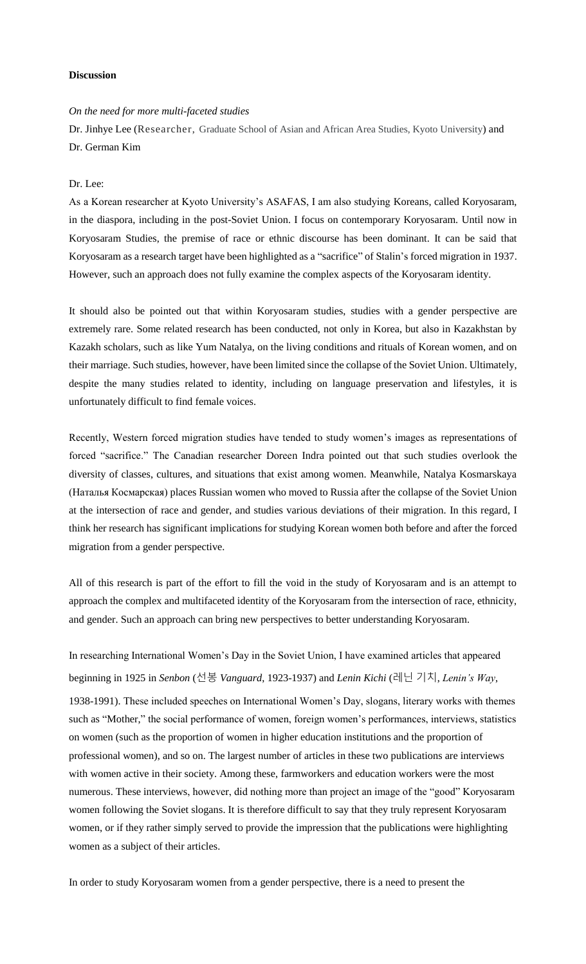## **Discussion**

## *On the need for more multi-faceted studies*

Dr. Jinhye Lee (Researcher, Graduate School of Asian and African Area Studies, Kyoto University) and Dr. German Kim

## Dr. Lee:

As a Korean researcher at Kyoto University's ASAFAS, I am also studying Koreans, called Koryosaram, in the diaspora, including in the post-Soviet Union. I focus on contemporary Koryosaram. Until now in Koryosaram Studies, the premise of race or ethnic discourse has been dominant. It can be said that Koryosaram as a research target have been highlighted as a "sacrifice" of Stalin's forced migration in 1937. However, such an approach does not fully examine the complex aspects of the Koryosaram identity.

It should also be pointed out that within Koryosaram studies, studies with a gender perspective are extremely rare. Some related research has been conducted, not only in Korea, but also in Kazakhstan by Kazakh scholars, such as like Yum Natalya, on the living conditions and rituals of Korean women, and on their marriage. Such studies, however, have been limited since the collapse of the Soviet Union. Ultimately, despite the many studies related to identity, including on language preservation and lifestyles, it is unfortunately difficult to find female voices.

Recently, Western forced migration studies have tended to study women's images as representations of forced "sacrifice." The Canadian researcher Doreen Indra pointed out that such studies overlook the diversity of classes, cultures, and situations that exist among women. Meanwhile, Natalya Kosmarskaya (Наталья Космарская) places Russian women who moved to Russia after the collapse of the Soviet Union at the intersection of race and gender, and studies various deviations of their migration. In this regard, I think her research has significant implications for studying Korean women both before and after the forced migration from a gender perspective.

All of this research is part of the effort to fill the void in the study of Koryosaram and is an attempt to approach the complex and multifaceted identity of the Koryosaram from the intersection of race, ethnicity, and gender. Such an approach can bring new perspectives to better understanding Koryosaram.

In researching International Women's Day in the Soviet Union, I have examined articles that appeared beginning in 1925 in *Senbon* (선봉 *Vanguard*, 1923-1937) and *Lenin Kichi* (레닌 기치, *Lenin's Way*, 1938-1991). These included speeches on International Women's Day, slogans, literary works with themes such as "Mother," the social performance of women, foreign women's performances, interviews, statistics on women (such as the proportion of women in higher education institutions and the proportion of professional women), and so on. The largest number of articles in these two publications are interviews with women active in their society. Among these, farmworkers and education workers were the most numerous. These interviews, however, did nothing more than project an image of the "good" Koryosaram women following the Soviet slogans. It is therefore difficult to say that they truly represent Koryosaram women, or if they rather simply served to provide the impression that the publications were highlighting women as a subject of their articles.

In order to study Koryosaram women from a gender perspective, there is a need to present the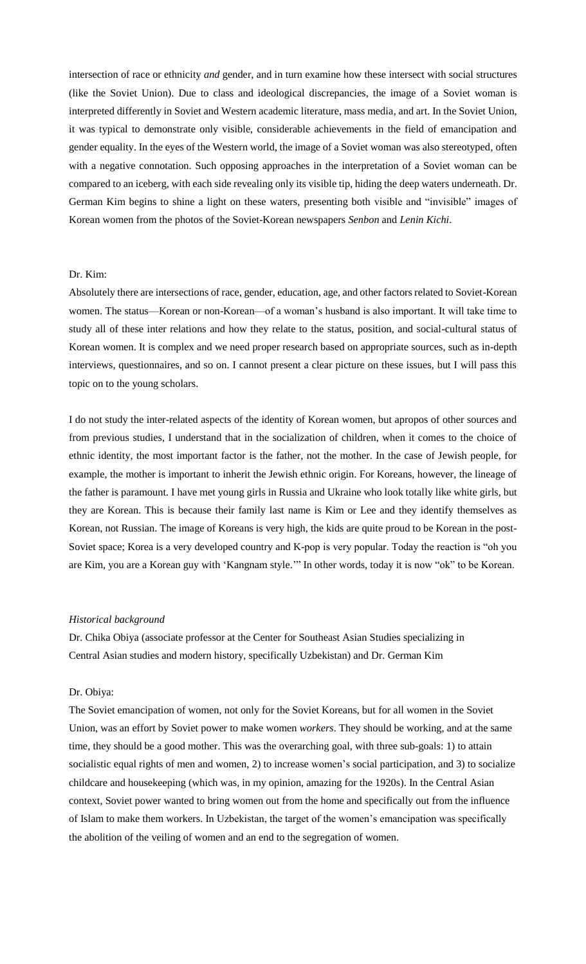intersection of race or ethnicity *and* gender, and in turn examine how these intersect with social structures (like the Soviet Union). Due to class and ideological discrepancies, the image of a Soviet woman is interpreted differently in Soviet and Western academic literature, mass media, and art. In the Soviet Union, it was typical to demonstrate only visible, considerable achievements in the field of emancipation and gender equality. In the eyes of the Western world, the image of a Soviet woman was also stereotyped, often with a negative connotation. Such opposing approaches in the interpretation of a Soviet woman can be compared to an iceberg, with each side revealing only its visible tip, hiding the deep waters underneath. Dr. German Kim begins to shine a light on these waters, presenting both visible and "invisible" images of Korean women from the photos of the Soviet-Korean newspapers *Senbon* and *Lenin Kichi*.

## Dr. Kim:

Absolutely there are intersections of race, gender, education, age, and other factors related to Soviet-Korean women. The status—Korean or non-Korean—of a woman's husband is also important. It will take time to study all of these inter relations and how they relate to the status, position, and social-cultural status of Korean women. It is complex and we need proper research based on appropriate sources, such as in-depth interviews, questionnaires, and so on. I cannot present a clear picture on these issues, but I will pass this topic on to the young scholars.

I do not study the inter-related aspects of the identity of Korean women, but apropos of other sources and from previous studies, I understand that in the socialization of children, when it comes to the choice of ethnic identity, the most important factor is the father, not the mother. In the case of Jewish people, for example, the mother is important to inherit the Jewish ethnic origin. For Koreans, however, the lineage of the father is paramount. I have met young girls in Russia and Ukraine who look totally like white girls, but they are Korean. This is because their family last name is Kim or Lee and they identify themselves as Korean, not Russian. The image of Koreans is very high, the kids are quite proud to be Korean in the post-Soviet space; Korea is a very developed country and K-pop is very popular. Today the reaction is "oh you are Kim, you are a Korean guy with 'Kangnam style.'" In other words, today it is now "ok" to be Korean.

#### *Historical background*

Dr. Chika Obiya (associate professor at the Center for Southeast Asian Studies specializing in Central Asian studies and modern history, specifically Uzbekistan) and Dr. German Kim

#### Dr. Obiya:

The Soviet emancipation of women, not only for the Soviet Koreans, but for all women in the Soviet Union, was an effort by Soviet power to make women *workers*. They should be working, and at the same time, they should be a good mother. This was the overarching goal, with three sub-goals: 1) to attain socialistic equal rights of men and women, 2) to increase women's social participation, and 3) to socialize childcare and housekeeping (which was, in my opinion, amazing for the 1920s). In the Central Asian context, Soviet power wanted to bring women out from the home and specifically out from the influence of Islam to make them workers. In Uzbekistan, the target of the women's emancipation was specifically the abolition of the veiling of women and an end to the segregation of women.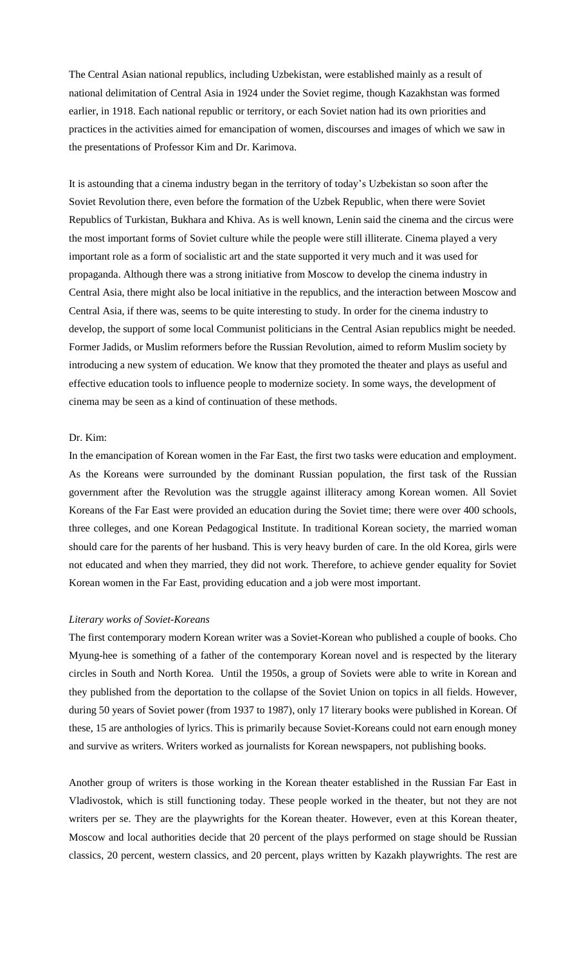The Central Asian national republics, including Uzbekistan, were established mainly as a result of national delimitation of Central Asia in 1924 under the Soviet regime, though Kazakhstan was formed earlier, in 1918. Each national republic or territory, or each Soviet nation had its own priorities and practices in the activities aimed for emancipation of women, discourses and images of which we saw in the presentations of Professor Kim and Dr. Karimova.

It is astounding that a cinema industry began in the territory of today's Uzbekistan so soon after the Soviet Revolution there, even before the formation of the Uzbek Republic, when there were Soviet Republics of Turkistan, Bukhara and Khiva. As is well known, Lenin said the cinema and the circus were the most important forms of Soviet culture while the people were still illiterate. Cinema played a very important role as a form of socialistic art and the state supported it very much and it was used for propaganda. Although there was a strong initiative from Moscow to develop the cinema industry in Central Asia, there might also be local initiative in the republics, and the interaction between Moscow and Central Asia, if there was, seems to be quite interesting to study. In order for the cinema industry to develop, the support of some local Communist politicians in the Central Asian republics might be needed. Former Jadids, or Muslim reformers before the Russian Revolution, aimed to reform Muslim society by introducing a new system of education. We know that they promoted the theater and plays as useful and effective education tools to influence people to modernize society. In some ways, the development of cinema may be seen as a kind of continuation of these methods.

## Dr. Kim:

In the emancipation of Korean women in the Far East, the first two tasks were education and employment. As the Koreans were surrounded by the dominant Russian population, the first task of the Russian government after the Revolution was the struggle against illiteracy among Korean women. All Soviet Koreans of the Far East were provided an education during the Soviet time; there were over 400 schools, three colleges, and one Korean Pedagogical Institute. In traditional Korean society, the married woman should care for the parents of her husband. This is very heavy burden of care. In the old Korea, girls were not educated and when they married, they did not work. Therefore, to achieve gender equality for Soviet Korean women in the Far East, providing education and a job were most important.

### *Literary works of Soviet-Koreans*

The first contemporary modern Korean writer was a Soviet-Korean who published a couple of books. Cho Myung-hee is something of a father of the contemporary Korean novel and is respected by the literary circles in South and North Korea. Until the 1950s, a group of Soviets were able to write in Korean and they published from the deportation to the collapse of the Soviet Union on topics in all fields. However, during 50 years of Soviet power (from 1937 to 1987), only 17 literary books were published in Korean. Of these, 15 are anthologies of lyrics. This is primarily because Soviet-Koreans could not earn enough money and survive as writers. Writers worked as journalists for Korean newspapers, not publishing books.

Another group of writers is those working in the Korean theater established in the Russian Far East in Vladivostok, which is still functioning today. These people worked in the theater, but not they are not writers per se. They are the playwrights for the Korean theater. However, even at this Korean theater, Moscow and local authorities decide that 20 percent of the plays performed on stage should be Russian classics, 20 percent, western classics, and 20 percent, plays written by Kazakh playwrights. The rest are